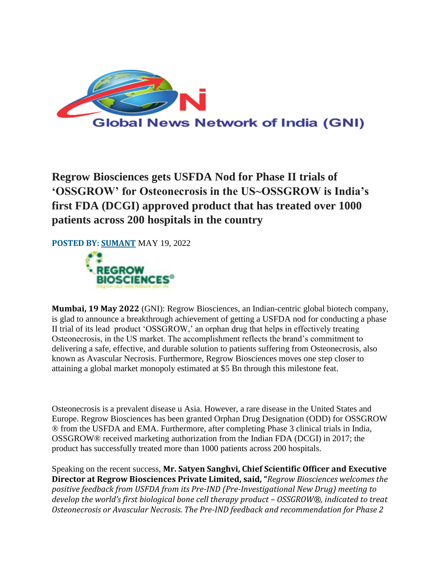

**Regrow Biosciences gets USFDA Nod for Phase II trials of 'OSSGROW' for Osteonecrosis in the US~OSSGROW is India's first FDA (DCGI) approved product that has treated over 1000 patients across 200 hospitals in the country**

**POSTED BY: [SUMANT](http://globalnewsonnetwork.com/author/sumant/)** MAY 19, 2022



**Mumbai, 19 May 2022** (GNI): Regrow Biosciences, an Indian-centric global biotech company, is glad to announce a breakthrough achievement of getting a USFDA nod for conducting a phase II trial of its lead product 'OSSGROW,' an orphan drug that helps in effectively treating Osteonecrosis, in the US market. The accomplishment reflects the brand's commitment to delivering a safe, effective, and durable solution to patients suffering from Osteonecrosis, also known as Avascular Necrosis. Furthermore, Regrow Biosciences moves one step closer to attaining a global market monopoly estimated at \$5 Bn through this milestone feat.

Osteonecrosis is a prevalent disease u Asia. However, a rare disease in the United States and Europe. Regrow Biosciences has been granted Orphan Drug Designation (ODD) for OSSGROW ® from the USFDA and EMA. Furthermore, after completing Phase 3 clinical trials in India, OSSGROW® received marketing authorization from the Indian FDA (DCGI) in 2017; the product has successfully treated more than 1000 patients across 200 hospitals.

Speaking on the recent success, **Mr. Satyen Sanghvi, Chief Scientific Officer and Executive Director at Regrow Biosciences Private Limited, said, "***Regrow Biosciences welcomes the positive feedback from USFDA from its Pre-IND (Pre-Investigational New Drug) meeting to develop the world's first biological bone cell therapy product – OSSGROW®, indicated to treat Osteonecrosis or Avascular Necrosis. The Pre-IND feedback and recommendation for Phase 2*